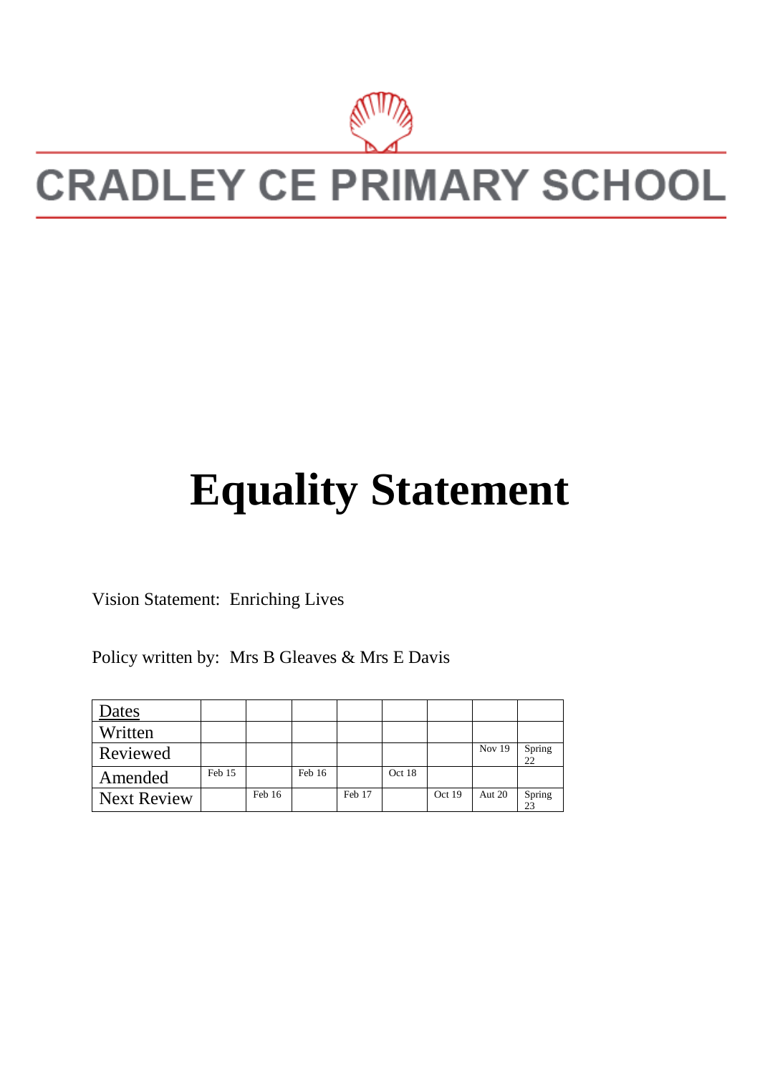

## **CRADLEY CE PRIMARY SCHOOL**

## **Equality Statement**

Vision Statement: Enriching Lives

Policy written by: Mrs B Gleaves & Mrs E Davis

| Dates              |        |        |        |        |        |        |        |              |
|--------------------|--------|--------|--------|--------|--------|--------|--------|--------------|
| Written            |        |        |        |        |        |        |        |              |
| Reviewed           |        |        |        |        |        |        | Nov 19 | Spring<br>22 |
| Amended            | Feb 15 |        | Feb 16 |        | Oct 18 |        |        |              |
| <b>Next Review</b> |        | Feb 16 |        | Feb 17 |        | Oct 19 | Aut 20 | Spring<br>23 |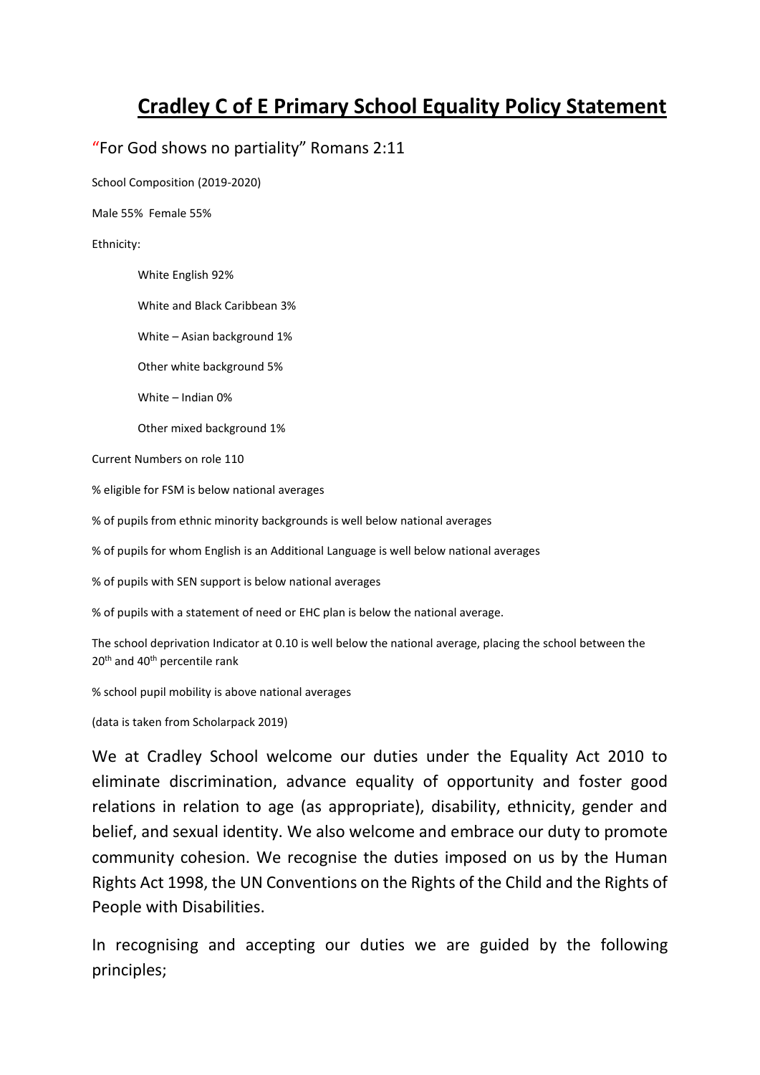## **Cradley C of E Primary School Equality Policy Statement**

## "For God shows no partiality" Romans 2:11

School Composition (2019-2020)

Male 55% Female 55%

Ethnicity:

White English 92%

White and Black Caribbean 3%

White – Asian background 1%

Other white background 5%

White – Indian 0%

Other mixed background 1%

Current Numbers on role 110

% eligible for FSM is below national averages

% of pupils from ethnic minority backgrounds is well below national averages

% of pupils for whom English is an Additional Language is well below national averages

% of pupils with SEN support is below national averages

% of pupils with a statement of need or EHC plan is below the national average.

The school deprivation Indicator at 0.10 is well below the national average, placing the school between the 20<sup>th</sup> and 40<sup>th</sup> percentile rank

% school pupil mobility is above national averages

(data is taken from Scholarpack 2019)

We at Cradley School welcome our duties under the Equality Act 2010 to eliminate discrimination, advance equality of opportunity and foster good relations in relation to age (as appropriate), disability, ethnicity, gender and belief, and sexual identity. We also welcome and embrace our duty to promote community cohesion. We recognise the duties imposed on us by the Human Rights Act 1998, the UN Conventions on the Rights of the Child and the Rights of People with Disabilities.

In recognising and accepting our duties we are guided by the following principles;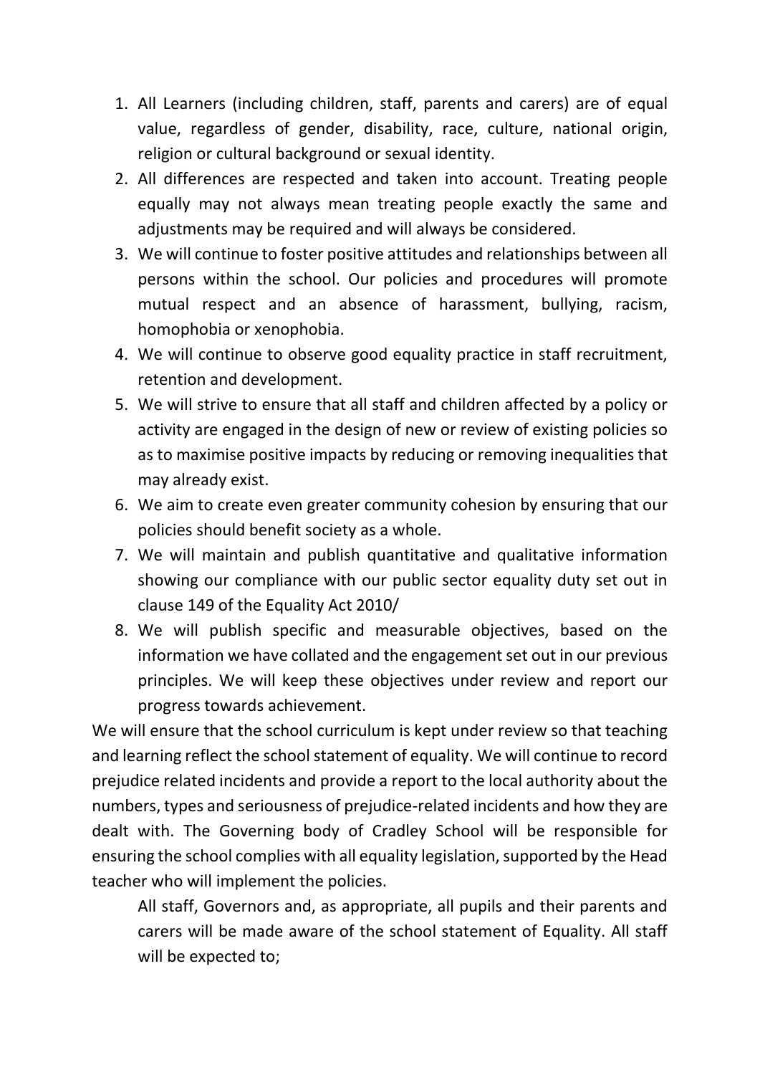- 1. All Learners (including children, staff, parents and carers) are of equal value, regardless of gender, disability, race, culture, national origin, religion or cultural background or sexual identity.
- 2. All differences are respected and taken into account. Treating people equally may not always mean treating people exactly the same and adjustments may be required and will always be considered.
- 3. We will continue to foster positive attitudes and relationships between all persons within the school. Our policies and procedures will promote mutual respect and an absence of harassment, bullying, racism, homophobia or xenophobia.
- 4. We will continue to observe good equality practice in staff recruitment, retention and development.
- 5. We will strive to ensure that all staff and children affected by a policy or activity are engaged in the design of new or review of existing policies so as to maximise positive impacts by reducing or removing inequalities that may already exist.
- 6. We aim to create even greater community cohesion by ensuring that our policies should benefit society as a whole.
- 7. We will maintain and publish quantitative and qualitative information showing our compliance with our public sector equality duty set out in clause 149 of the Equality Act 2010/
- 8. We will publish specific and measurable objectives, based on the information we have collated and the engagement set out in our previous principles. We will keep these objectives under review and report our progress towards achievement.

We will ensure that the school curriculum is kept under review so that teaching and learning reflect the school statement of equality. We will continue to record prejudice related incidents and provide a report to the local authority about the numbers, types and seriousness of prejudice-related incidents and how they are dealt with. The Governing body of Cradley School will be responsible for ensuring the school complies with all equality legislation, supported by the Head teacher who will implement the policies.

All staff, Governors and, as appropriate, all pupils and their parents and carers will be made aware of the school statement of Equality. All staff will be expected to;